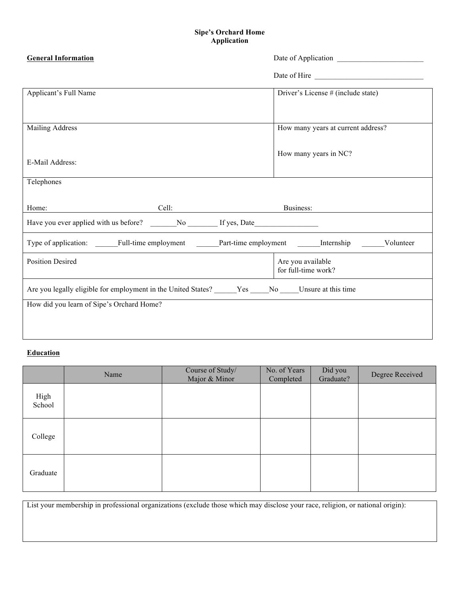### **Sipe's Orchard Home Application**

| <b>General Information</b><br>Date of Application                                        |                                          |
|------------------------------------------------------------------------------------------|------------------------------------------|
|                                                                                          |                                          |
| Applicant's Full Name                                                                    | Driver's License # (include state)       |
| <b>Mailing Address</b>                                                                   | How many years at current address?       |
| E-Mail Address:                                                                          | How many years in NC?                    |
| Telephones                                                                               |                                          |
| Cell:<br>Home:                                                                           | Business:                                |
| Have you ever applied with us before? No No If yes, Date                                 |                                          |
| Type of application: Full-time employment Part-time employment Internship                | Volunteer                                |
| <b>Position Desired</b>                                                                  | Are you available<br>for full-time work? |
| Are you legally eligible for employment in the United States? Nes No Unsure at this time |                                          |
| How did you learn of Sipe's Orchard Home?                                                |                                          |
|                                                                                          |                                          |

# **Education**

|                | Name | Course of Study/<br>Major & Minor | No. of Years<br>Completed | Did you<br>Graduate? | Degree Received |
|----------------|------|-----------------------------------|---------------------------|----------------------|-----------------|
| High<br>School |      |                                   |                           |                      |                 |
| College        |      |                                   |                           |                      |                 |
| Graduate       |      |                                   |                           |                      |                 |

List your membership in professional organizations (exclude those which may disclose your race, religion, or national origin):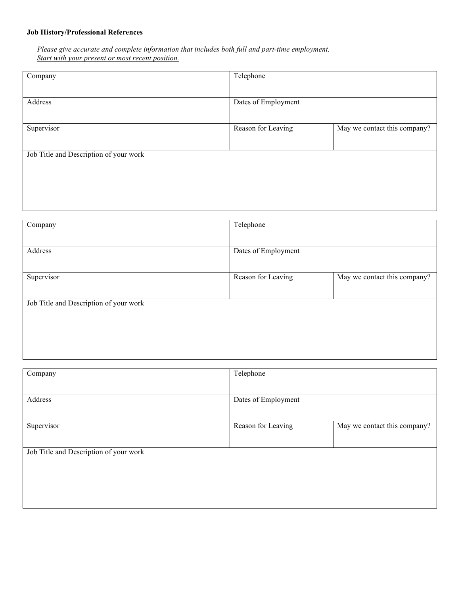## **Job History/Professional References**

*Please give accurate and complete information that includes both full and part-time employment. Start with your present or most recent position.*

| Company                                | Telephone           |                              |
|----------------------------------------|---------------------|------------------------------|
| Address                                | Dates of Employment |                              |
| Supervisor                             | Reason for Leaving  | May we contact this company? |
| Job Title and Description of your work |                     |                              |
|                                        |                     |                              |

| Company                                | Telephone           |                              |
|----------------------------------------|---------------------|------------------------------|
| Address                                | Dates of Employment |                              |
| Supervisor                             | Reason for Leaving  | May we contact this company? |
| Job Title and Description of your work |                     |                              |
|                                        |                     |                              |

| Company                                | Telephone           |                              |
|----------------------------------------|---------------------|------------------------------|
|                                        |                     |                              |
| Address                                | Dates of Employment |                              |
|                                        |                     |                              |
| Supervisor                             | Reason for Leaving  | May we contact this company? |
|                                        |                     |                              |
| Job Title and Description of your work |                     |                              |
|                                        |                     |                              |
|                                        |                     |                              |
|                                        |                     |                              |
|                                        |                     |                              |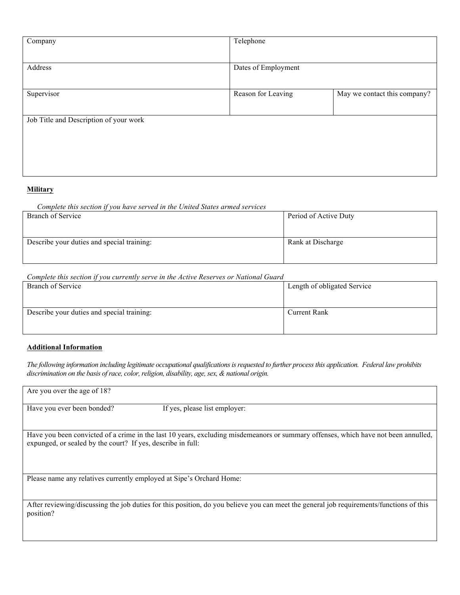| Company                                | Telephone           |                              |
|----------------------------------------|---------------------|------------------------------|
|                                        |                     |                              |
| Address                                | Dates of Employment |                              |
|                                        |                     |                              |
| Supervisor                             | Reason for Leaving  | May we contact this company? |
|                                        |                     |                              |
| Job Title and Description of your work |                     |                              |
|                                        |                     |                              |
|                                        |                     |                              |
|                                        |                     |                              |
|                                        |                     |                              |

#### **Military**

#### *Complete this section if you have served in the United States armed services*

| Branch of Service                          | Period of Active Duty |
|--------------------------------------------|-----------------------|
| Describe your duties and special training: | Rank at Discharge     |

#### *Complete this section if you currently serve in the Active Reserves or National Guard*

| Branch of Service                          | Length of obligated Service |  |
|--------------------------------------------|-----------------------------|--|
|                                            |                             |  |
| Describe your duties and special training: | <b>Current Rank</b>         |  |
|                                            |                             |  |

#### **Additional Information**

*The following information including legitimate occupational qualificationsis requested to further process this application. Federal law prohibits discrimination on the basis of race, color, religion, disability, age, sex, & national origin.*

| Are you over the age of 18?                                          |                                                                                                                                         |
|----------------------------------------------------------------------|-----------------------------------------------------------------------------------------------------------------------------------------|
| Have you ever been bonded?                                           | If yes, please list employer:                                                                                                           |
| expunged, or sealed by the court? If yes, describe in full:          | Have you been convicted of a crime in the last 10 years, excluding misdemeanors or summary offenses, which have not been annulled,      |
| Please name any relatives currently employed at Sipe's Orchard Home: |                                                                                                                                         |
| position?                                                            | After reviewing/discussing the job duties for this position, do you believe you can meet the general job requirements/functions of this |